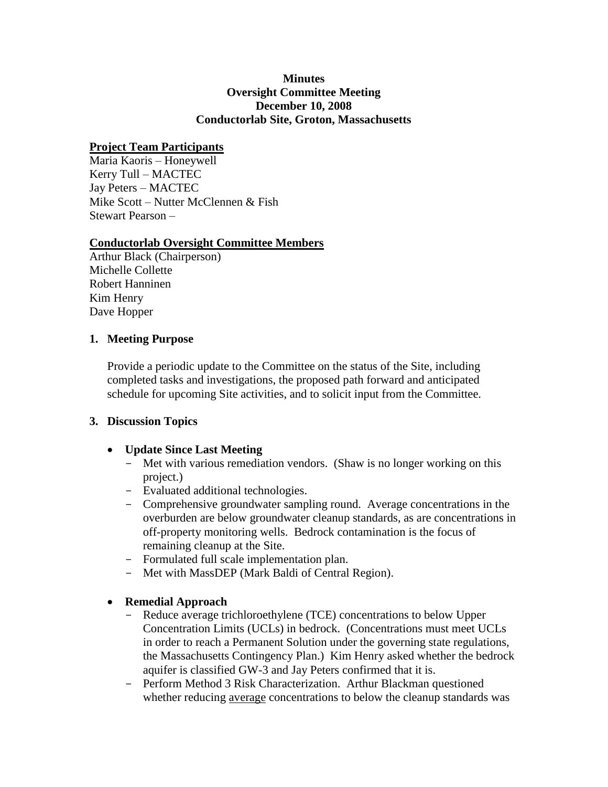#### **Minutes Oversight Committee Meeting December 10, 2008 Conductorlab Site, Groton, Massachusetts**

### **Project Team Participants**

Maria Kaoris – Honeywell Kerry Tull – MACTEC Jay Peters – MACTEC Mike Scott – Nutter McClennen & Fish Stewart Pearson –

### **Conductorlab Oversight Committee Members**

Arthur Black (Chairperson) Michelle Collette Robert Hanninen Kim Henry Dave Hopper

### **1. Meeting Purpose**

Provide a periodic update to the Committee on the status of the Site, including completed tasks and investigations, the proposed path forward and anticipated schedule for upcoming Site activities, and to solicit input from the Committee.

# **3. Discussion Topics**

- **Update Since Last Meeting**
	- Met with various remediation vendors. (Shaw is no longer working on this project.)
	- Evaluated additional technologies.
	- Comprehensive groundwater sampling round. Average concentrations in the overburden are below groundwater cleanup standards, as are concentrations in off-property monitoring wells. Bedrock contamination is the focus of remaining cleanup at the Site.
	- Formulated full scale implementation plan.
	- Met with MassDEP (Mark Baldi of Central Region).
- **Remedial Approach**
	- Reduce average trichloroethylene (TCE) concentrations to below Upper Concentration Limits (UCLs) in bedrock. (Concentrations must meet UCLs in order to reach a Permanent Solution under the governing state regulations, the Massachusetts Contingency Plan.) Kim Henry asked whether the bedrock aquifer is classified GW-3 and Jay Peters confirmed that it is.
	- Perform Method 3 Risk Characterization. Arthur Blackman questioned whether reducing average concentrations to below the cleanup standards was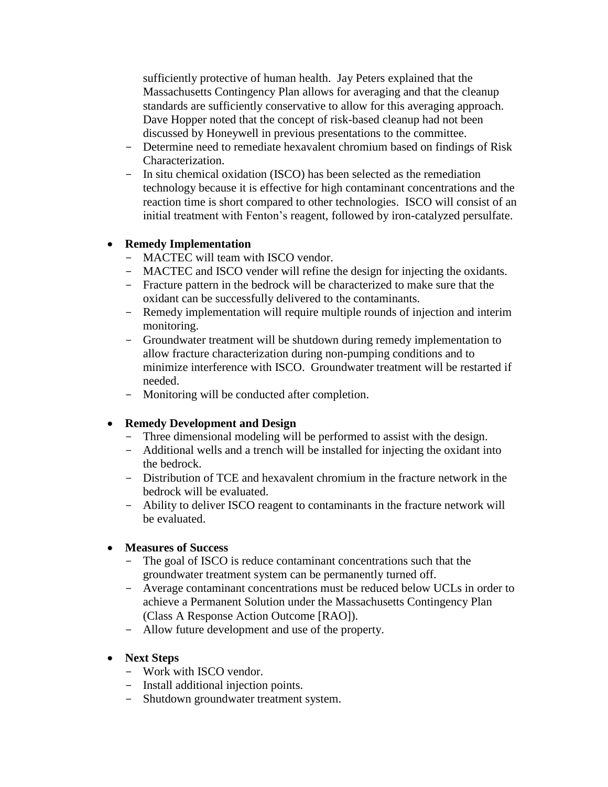sufficiently protective of human health. Jay Peters explained that the Massachusetts Contingency Plan allows for averaging and that the cleanup standards are sufficiently conservative to allow for this averaging approach. Dave Hopper noted that the concept of risk-based cleanup had not been discussed by Honeywell in previous presentations to the committee.

- Determine need to remediate hexavalent chromium based on findings of Risk Characterization.
- In situ chemical oxidation (ISCO) has been selected as the remediation technology because it is effective for high contaminant concentrations and the reaction time is short compared to other technologies. ISCO will consist of an initial treatment with Fenton's reagent, followed by iron-catalyzed persulfate.

### **Remedy Implementation**

- MACTEC will team with ISCO vendor.
- MACTEC and ISCO vender will refine the design for injecting the oxidants.
- Fracture pattern in the bedrock will be characterized to make sure that the oxidant can be successfully delivered to the contaminants.
- Remedy implementation will require multiple rounds of injection and interim monitoring.
- Groundwater treatment will be shutdown during remedy implementation to allow fracture characterization during non-pumping conditions and to minimize interference with ISCO. Groundwater treatment will be restarted if needed.
- Monitoring will be conducted after completion.

# **Remedy Development and Design**

- Three dimensional modeling will be performed to assist with the design.
- Additional wells and a trench will be installed for injecting the oxidant into the bedrock.
- Distribution of TCE and hexavalent chromium in the fracture network in the bedrock will be evaluated.
- Ability to deliver ISCO reagent to contaminants in the fracture network will be evaluated.

#### **Measures of Success**

- The goal of ISCO is reduce contaminant concentrations such that the groundwater treatment system can be permanently turned off.
- Average contaminant concentrations must be reduced below UCLs in order to achieve a Permanent Solution under the Massachusetts Contingency Plan (Class A Response Action Outcome [RAO]).
- Allow future development and use of the property.
- **Next Steps**
	- Work with ISCO vendor.
	- Install additional injection points.
	- Shutdown groundwater treatment system.